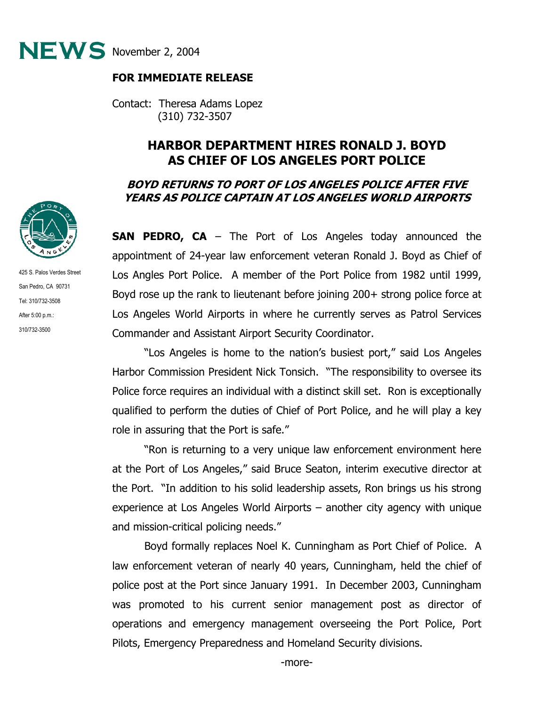

## **FOR IMMEDIATE RELEASE**

Contact: Theresa Adams Lopez (310) 732-3507

## **HARBOR DEPARTMENT HIRES RONALD J. BOYD AS CHIEF OF LOS ANGELES PORT POLICE**

## **BOYD RETURNS TO PORT OF LOS ANGELES POLICE AFTER FIVE YEARS AS POLICE CAPTAIN AT LOS ANGELES WORLD AIRPORTS**

**SAN PEDRO, CA** – The Port of Los Angeles today announced the appointment of 24-year law enforcement veteran Ronald J. Boyd as Chief of Los Angles Port Police. A member of the Port Police from 1982 until 1999, Boyd rose up the rank to lieutenant before joining 200+ strong police force at Los Angeles World Airports in where he currently serves as Patrol Services Commander and Assistant Airport Security Coordinator.

"Los Angeles is home to the nation's busiest port," said Los Angeles Harbor Commission President Nick Tonsich. "The responsibility to oversee its Police force requires an individual with a distinct skill set. Ron is exceptionally qualified to perform the duties of Chief of Port Police, and he will play a key role in assuring that the Port is safe."

"Ron is returning to a very unique law enforcement environment here at the Port of Los Angeles," said Bruce Seaton, interim executive director at the Port. "In addition to his solid leadership assets, Ron brings us his strong experience at Los Angeles World Airports – another city agency with unique and mission-critical policing needs."

 Boyd formally replaces Noel K. Cunningham as Port Chief of Police. A law enforcement veteran of nearly 40 years, Cunningham, held the chief of police post at the Port since January 1991. In December 2003, Cunningham was promoted to his current senior management post as director of operations and emergency management overseeing the Port Police, Port Pilots, Emergency Preparedness and Homeland Security divisions.



425 S. Palos Verdes Street San Pedro, CA 90731 Tel: 310/732-3508 After 5:00 p.m.: 310/732-3500